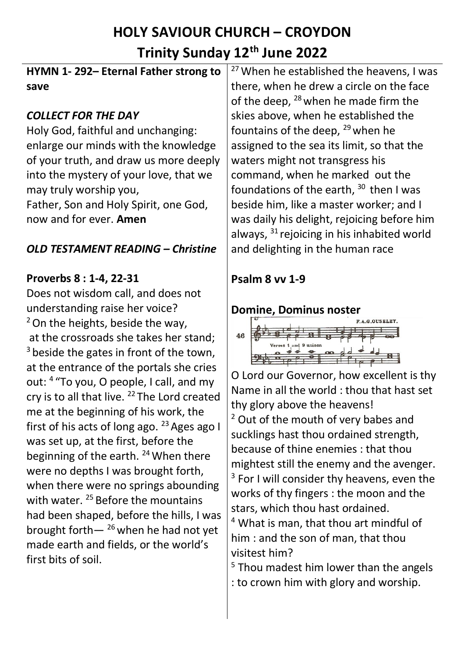# **HOLY SAVIOUR CHURCH – CROYDON Trinity Sunday 12th June 2022**

## **HYMN 1- 292– Eternal Father strong to save**

## *COLLECT FOR THE DAY*

Holy God, faithful and unchanging: enlarge our minds with the knowledge of your truth, and draw us more deeply into the mystery of your love, that we may truly worship you, Father, Son and Holy Spirit, one God, now and for ever. **Amen**

#### *OLD TESTAMENT READING – Christine*

#### **Proverbs 8 : 1-4, 22-31**

Does not wisdom call, and does not understanding raise her voice? <sup>2</sup> On the heights, beside the way, at the crossroads she takes her stand;  $3$  beside the gates in front of the town, at the entrance of the portals she cries out: <sup>4</sup> "To you, O people, I call, and my cry is to all that live. <sup>22</sup> The Lord created me at the beginning of his work, the first of his acts of long ago.  $23$  Ages ago I was set up, at the first, before the beginning of the earth.  $24$  When there were no depths I was brought forth, when there were no springs abounding with water. <sup>25</sup> Before the mountains had been shaped, before the hills, I was brought forth— $^{26}$  when he had not yet made earth and fields, or the world's first bits of soil.

<sup>27</sup> When he established the heavens, I was there, when he drew a circle on the face of the deep,  $^{28}$  when he made firm the skies above, when he established the fountains of the deep,  $29$  when he assigned to the sea its limit, so that the waters might not transgress his command, when he marked out the foundations of the earth,  $30$  then I was beside him, like a master worker; and I was daily his delight, rejoicing before him always,  $31$  rejoicing in his inhabited world and delighting in the human race

# **Psalm 8 vv 1-9**

## **Domine, Dominus noster**



O Lord our Governor, how excellent is thy Name in all the world : thou that hast set thy glory above the heavens! <sup>2</sup> Out of the mouth of very babes and sucklings hast thou ordained strength, because of thine enemies : that thou mightest still the enemy and the avenger. <sup>3</sup> For I will consider thy heavens, even the works of thy fingers : the moon and the stars, which thou hast ordained. <sup>4</sup> What is man, that thou art mindful of

him : and the son of man, that thou visitest him?

 $5$  Thou madest him lower than the angels : to crown him with glory and worship.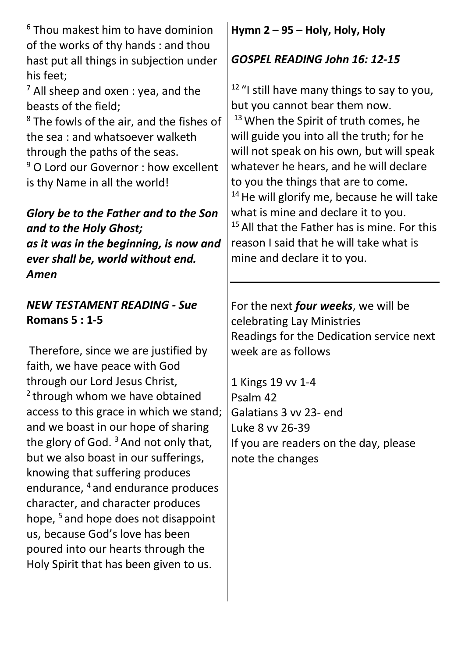<sup>6</sup> Thou makest him to have dominion of the works of thy hands : and thou hast put all things in subjection under his feet;

 $<sup>7</sup>$  All sheep and oxen : yea, and the</sup> beasts of the field;

<sup>8</sup> The fowls of the air, and the fishes of the sea : and whatsoever walketh through the paths of the seas.

<sup>9</sup> O Lord our Governor : how excellent is thy Name in all the world!

# *Glory be to the Father and to the Son and to the Holy Ghost;*

*as it was in the beginning, is now and ever shall be, world without end. Amen*

# *NEW TESTAMENT READING - Sue* **Romans 5 : 1-5**

Therefore, since we are justified by faith, we have peace with God through our Lord Jesus Christ, <sup>2</sup> through whom we have obtained access to this grace in which we stand; and we boast in our hope of sharing the glory of God.  $3$  And not only that, but we also boast in our sufferings, knowing that suffering produces endurance, <sup>4</sup> and endurance produces character, and character produces hope, <sup>5</sup> and hope does not disappoint us, because God's love has been poured into our hearts through the Holy Spirit that has been given to us.

# **Hymn 2 – 95 – Holy, Holy, Holy**

# *GOSPEL READING John 16: 12-15*

 $12$  "I still have many things to say to you, but you cannot bear them now. <sup>13</sup> When the Spirit of truth comes, he will guide you into all the truth; for he will not speak on his own, but will speak whatever he hears, and he will declare to you the things that are to come. <sup>14</sup> He will glorify me, because he will take what is mine and declare it to you.  $15$  All that the Father has is mine. For this reason I said that he will take what is mine and declare it to you.

For the next *four weeks*, we will be celebrating Lay Ministries Readings for the Dedication service next week are as follows

1 Kings 19 vv 1-4 Psalm 42 Galatians 3 vv 23- end Luke 8 vv 26-39 If you are readers on the day, please note the changes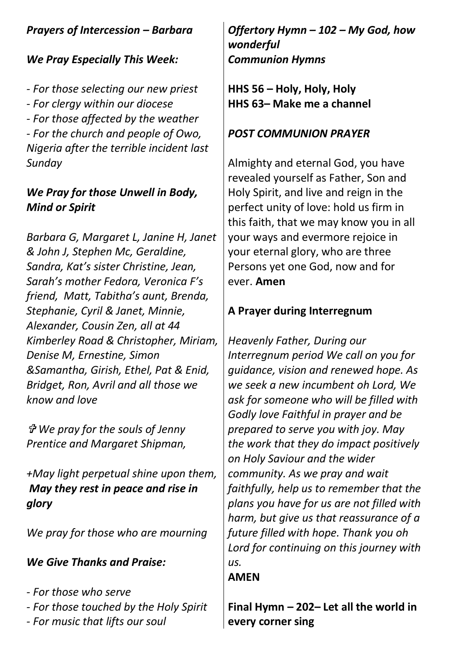## *Prayers of Intercession – Barbara*

#### *We Pray Especially This Week:*

- *- For those selecting our new priest*
- *- For clergy within our diocese*
- *- For those affected by the weather - For the church and people of Owo,*

*Nigeria after the terrible incident last Sunday*

## *We Pray for those Unwell in Body, Mind or Spirit*

*Barbara G, Margaret L, Janine H, Janet & John J, Stephen Mc, Geraldine, Sandra, Kat's sister Christine, Jean, Sarah's mother Fedora, Veronica F's friend, Matt, Tabitha's aunt, Brenda, Stephanie, Cyril & Janet, Minnie, Alexander, Cousin Zen, all at 44 Kimberley Road & Christopher, Miriam, Denise M, Ernestine, Simon &Samantha, Girish, Ethel, Pat & Enid, Bridget, Ron, Avril and all those we know and love* 

 *We pray for the souls of Jenny Prentice and Margaret Shipman,* 

*+May light perpetual shine upon them, May they rest in peace and rise in glory*

*We pray for those who are mourning*

#### *We Give Thanks and Praise:*

- *- For those who serve*
- *- For those touched by the Holy Spirit*
- *- For music that lifts our soul*

*Offertory Hymn – 102 – My God, how wonderful Communion Hymns*

**HHS 56 – Holy, Holy, Holy HHS 63– Make me a channel**

#### *POST COMMUNION PRAYER*

Almighty and eternal God, you have revealed yourself as Father, Son and Holy Spirit, and live and reign in the perfect unity of love: hold us firm in this faith, that we may know you in all your ways and evermore rejoice in your eternal glory, who are three Persons yet one God, now and for ever. **Amen**

#### **A Prayer during Interregnum**

*Heavenly Father, During our Interregnum period We call on you for guidance, vision and renewed hope. As we seek a new incumbent oh Lord, We ask for someone who will be filled with Godly love Faithful in prayer and be prepared to serve you with joy. May the work that they do impact positively on Holy Saviour and the wider community. As we pray and wait faithfully, help us to remember that the plans you have for us are not filled with harm, but give us that reassurance of a future filled with hope. Thank you oh Lord for continuing on this journey with us.*

#### **AMEN**

**Final Hymn – 202– Let all the world in every corner sing**